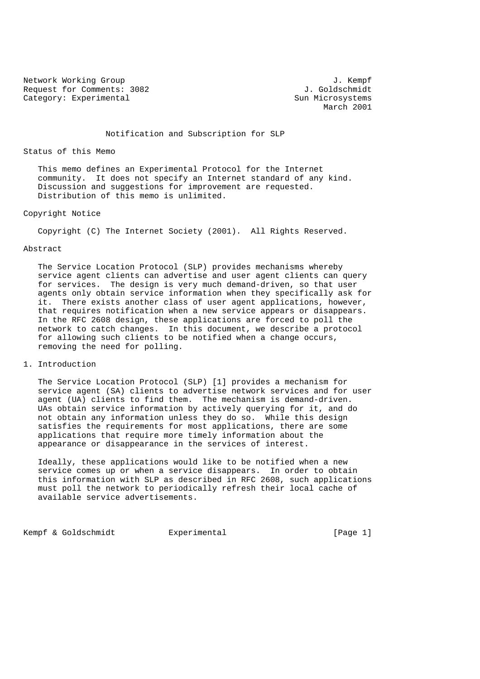Network Working Group 3. The Second Second Second Second Second Second Second Second Second Second Second Second Second Second Second Second Second Second Second Second Second Second Second Second Second Second Second Seco Request for Comments: 3082 J. Goldschmidt Category: Experimental Sun Microsystems

March 2001

Notification and Subscription for SLP

### Status of this Memo

 This memo defines an Experimental Protocol for the Internet community. It does not specify an Internet standard of any kind. Discussion and suggestions for improvement are requested. Distribution of this memo is unlimited.

# Copyright Notice

Copyright (C) The Internet Society (2001). All Rights Reserved.

### Abstract

 The Service Location Protocol (SLP) provides mechanisms whereby service agent clients can advertise and user agent clients can query for services. The design is very much demand-driven, so that user agents only obtain service information when they specifically ask for it. There exists another class of user agent applications, however, that requires notification when a new service appears or disappears. In the RFC 2608 design, these applications are forced to poll the network to catch changes. In this document, we describe a protocol for allowing such clients to be notified when a change occurs, removing the need for polling.

## 1. Introduction

 The Service Location Protocol (SLP) [1] provides a mechanism for service agent (SA) clients to advertise network services and for user agent (UA) clients to find them. The mechanism is demand-driven. UAs obtain service information by actively querying for it, and do not obtain any information unless they do so. While this design satisfies the requirements for most applications, there are some applications that require more timely information about the appearance or disappearance in the services of interest.

 Ideally, these applications would like to be notified when a new service comes up or when a service disappears. In order to obtain this information with SLP as described in RFC 2608, such applications must poll the network to periodically refresh their local cache of available service advertisements.

Kempf & Goldschmidt Experimental [Page 1]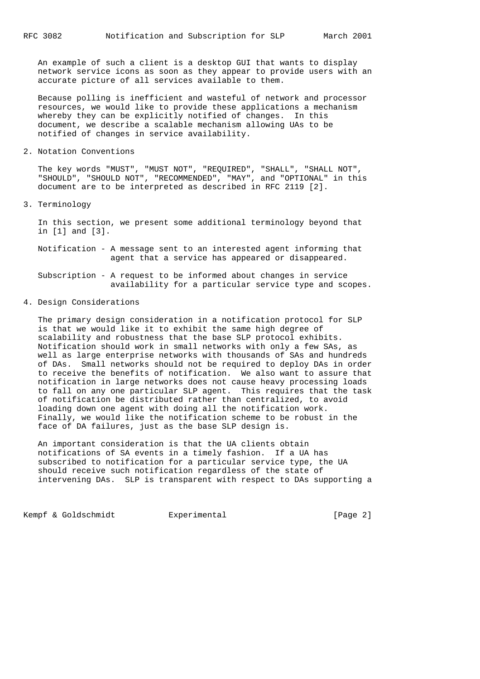An example of such a client is a desktop GUI that wants to display network service icons as soon as they appear to provide users with an accurate picture of all services available to them.

 Because polling is inefficient and wasteful of network and processor resources, we would like to provide these applications a mechanism whereby they can be explicitly notified of changes. In this document, we describe a scalable mechanism allowing UAs to be notified of changes in service availability.

2. Notation Conventions

 The key words "MUST", "MUST NOT", "REQUIRED", "SHALL", "SHALL NOT", "SHOULD", "SHOULD NOT", "RECOMMENDED", "MAY", and "OPTIONAL" in this document are to be interpreted as described in RFC 2119 [2].

3. Terminology

 In this section, we present some additional terminology beyond that in [1] and [3].

 Notification - A message sent to an interested agent informing that agent that a service has appeared or disappeared.

 Subscription - A request to be informed about changes in service availability for a particular service type and scopes.

4. Design Considerations

 The primary design consideration in a notification protocol for SLP is that we would like it to exhibit the same high degree of scalability and robustness that the base SLP protocol exhibits. Notification should work in small networks with only a few SAs, as well as large enterprise networks with thousands of SAs and hundreds of DAs. Small networks should not be required to deploy DAs in order to receive the benefits of notification. We also want to assure that notification in large networks does not cause heavy processing loads to fall on any one particular SLP agent. This requires that the task of notification be distributed rather than centralized, to avoid loading down one agent with doing all the notification work. Finally, we would like the notification scheme to be robust in the face of DA failures, just as the base SLP design is.

 An important consideration is that the UA clients obtain notifications of SA events in a timely fashion. If a UA has subscribed to notification for a particular service type, the UA should receive such notification regardless of the state of intervening DAs. SLP is transparent with respect to DAs supporting a

Kempf & Goldschmidt Experimental [Page 2]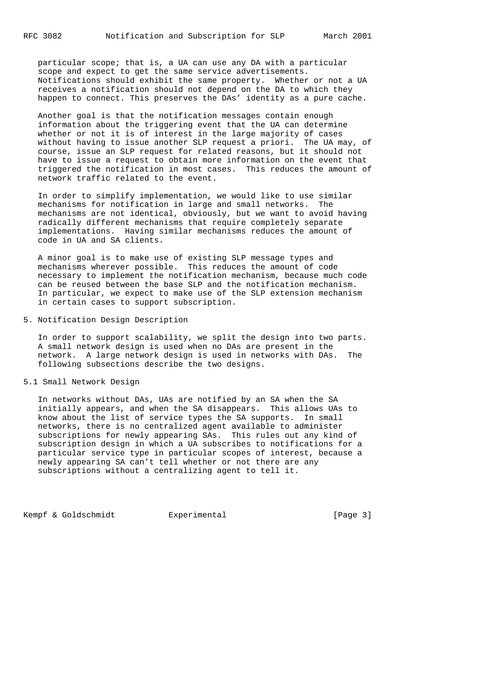particular scope; that is, a UA can use any DA with a particular scope and expect to get the same service advertisements. Notifications should exhibit the same property. Whether or not a UA receives a notification should not depend on the DA to which they happen to connect. This preserves the DAs' identity as a pure cache.

 Another goal is that the notification messages contain enough information about the triggering event that the UA can determine whether or not it is of interest in the large majority of cases without having to issue another SLP request a priori. The UA may, of course, issue an SLP request for related reasons, but it should not have to issue a request to obtain more information on the event that triggered the notification in most cases. This reduces the amount of network traffic related to the event.

 In order to simplify implementation, we would like to use similar mechanisms for notification in large and small networks. The mechanisms are not identical, obviously, but we want to avoid having radically different mechanisms that require completely separate implementations. Having similar mechanisms reduces the amount of code in UA and SA clients.

 A minor goal is to make use of existing SLP message types and mechanisms wherever possible. This reduces the amount of code necessary to implement the notification mechanism, because much code can be reused between the base SLP and the notification mechanism. In particular, we expect to make use of the SLP extension mechanism in certain cases to support subscription.

5. Notification Design Description

 In order to support scalability, we split the design into two parts. A small network design is used when no DAs are present in the network. A large network design is used in networks with DAs. The following subsections describe the two designs.

5.1 Small Network Design

 In networks without DAs, UAs are notified by an SA when the SA initially appears, and when the SA disappears. This allows UAs to know about the list of service types the SA supports. In small networks, there is no centralized agent available to administer subscriptions for newly appearing SAs. This rules out any kind of subscription design in which a UA subscribes to notifications for a particular service type in particular scopes of interest, because a newly appearing SA can't tell whether or not there are any subscriptions without a centralizing agent to tell it.

Kempf & Goldschmidt Experimental [Page 3]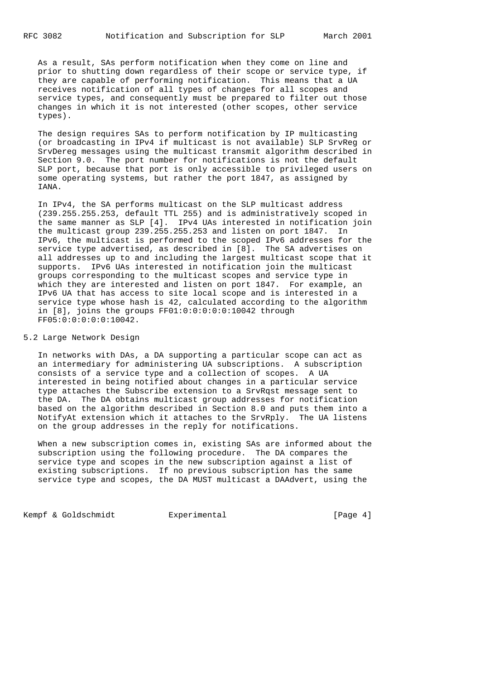As a result, SAs perform notification when they come on line and prior to shutting down regardless of their scope or service type, if they are capable of performing notification. This means that a UA receives notification of all types of changes for all scopes and service types, and consequently must be prepared to filter out those changes in which it is not interested (other scopes, other service types).

 The design requires SAs to perform notification by IP multicasting (or broadcasting in IPv4 if multicast is not available) SLP SrvReg or SrvDereg messages using the multicast transmit algorithm described in Section 9.0. The port number for notifications is not the default SLP port, because that port is only accessible to privileged users on some operating systems, but rather the port 1847, as assigned by IANA.

 In IPv4, the SA performs multicast on the SLP multicast address (239.255.255.253, default TTL 255) and is administratively scoped in the same manner as SLP [4]. IPv4 UAs interested in notification join the multicast group 239.255.255.253 and listen on port 1847. In IPv6, the multicast is performed to the scoped IPv6 addresses for the service type advertised, as described in [8]. The SA advertises on all addresses up to and including the largest multicast scope that it supports. IPv6 UAs interested in notification join the multicast groups corresponding to the multicast scopes and service type in which they are interested and listen on port 1847. For example, an IPv6 UA that has access to site local scope and is interested in a service type whose hash is 42, calculated according to the algorithm in [8], joins the groups FF01:0:0:0:0:0:10042 through FF05:0:0:0:0:0:10042.

## 5.2 Large Network Design

 In networks with DAs, a DA supporting a particular scope can act as an intermediary for administering UA subscriptions. A subscription consists of a service type and a collection of scopes. A UA interested in being notified about changes in a particular service type attaches the Subscribe extension to a SrvRqst message sent to the DA. The DA obtains multicast group addresses for notification based on the algorithm described in Section 8.0 and puts them into a NotifyAt extension which it attaches to the SrvRply. The UA listens on the group addresses in the reply for notifications.

 When a new subscription comes in, existing SAs are informed about the subscription using the following procedure. The DA compares the service type and scopes in the new subscription against a list of existing subscriptions. If no previous subscription has the same service type and scopes, the DA MUST multicast a DAAdvert, using the

Kempf & Goldschmidt Experimental [Page 4]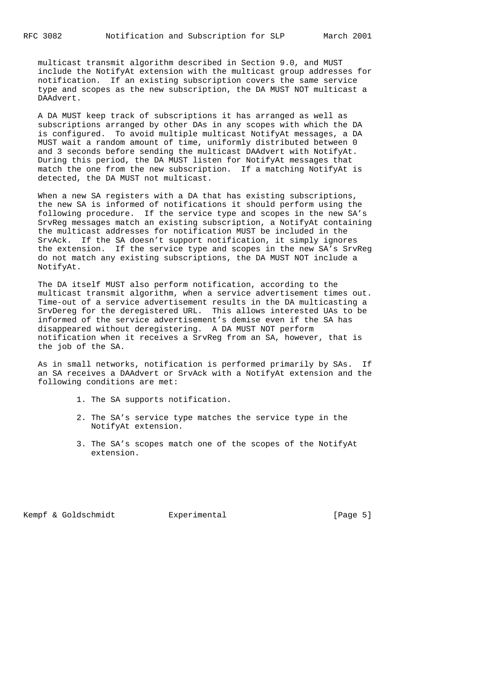multicast transmit algorithm described in Section 9.0, and MUST include the NotifyAt extension with the multicast group addresses for notification. If an existing subscription covers the same service type and scopes as the new subscription, the DA MUST NOT multicast a DAAdvert.

 A DA MUST keep track of subscriptions it has arranged as well as subscriptions arranged by other DAs in any scopes with which the DA is configured. To avoid multiple multicast NotifyAt messages, a DA MUST wait a random amount of time, uniformly distributed between 0 and 3 seconds before sending the multicast DAAdvert with NotifyAt. During this period, the DA MUST listen for NotifyAt messages that match the one from the new subscription. If a matching NotifyAt is detected, the DA MUST not multicast.

 When a new SA registers with a DA that has existing subscriptions, the new SA is informed of notifications it should perform using the following procedure. If the service type and scopes in the new SA's SrvReg messages match an existing subscription, a NotifyAt containing the multicast addresses for notification MUST be included in the SrvAck. If the SA doesn't support notification, it simply ignores the extension. If the service type and scopes in the new SA's SrvReg do not match any existing subscriptions, the DA MUST NOT include a NotifyAt.

 The DA itself MUST also perform notification, according to the multicast transmit algorithm, when a service advertisement times out. Time-out of a service advertisement results in the DA multicasting a SrvDereg for the deregistered URL. This allows interested UAs to be informed of the service advertisement's demise even if the SA has disappeared without deregistering. A DA MUST NOT perform notification when it receives a SrvReg from an SA, however, that is the job of the SA.

 As in small networks, notification is performed primarily by SAs. If an SA receives a DAAdvert or SrvAck with a NotifyAt extension and the following conditions are met:

- 1. The SA supports notification.
- 2. The SA's service type matches the service type in the NotifyAt extension.
- 3. The SA's scopes match one of the scopes of the NotifyAt extension.

Kempf & Goldschmidt Experimental [Page 5]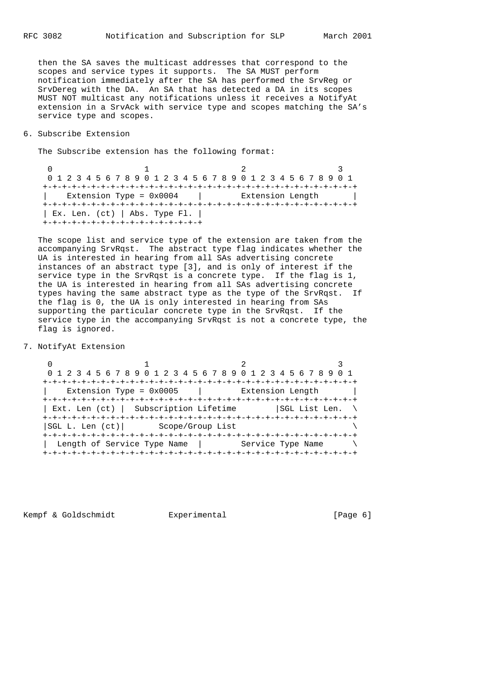then the SA saves the multicast addresses that correspond to the scopes and service types it supports. The SA MUST perform notification immediately after the SA has performed the SrvReg or SrvDereg with the DA. An SA that has detected a DA in its scopes MUST NOT multicast any notifications unless it receives a NotifyAt extension in a SrvAck with service type and scopes matching the SA's service type and scopes.

6. Subscribe Extension

The Subscribe extension has the following format:

 $0$  1 2 3 0 1 2 3 4 5 6 7 8 9 0 1 2 3 4 5 6 7 8 9 0 1 2 3 4 5 6 7 8 9 0 1 +-+-+-+-+-+-+-+-+-+-+-+-+-+-+-+-+-+-+-+-+-+-+-+-+-+-+-+-+-+-+-+-+ Extension Type = 0x0004 | Extension Length | +-+-+-+-+-+-+-+-+-+-+-+-+-+-+-+-+-+-+-+-+-+-+-+-+-+-+-+-+-+-+-+-+ | Ex. Len. (ct) | Abs. Type Fl. | +-+-+-+-+-+-+-+-+-+-+-+-+-+-+-+-+

 The scope list and service type of the extension are taken from the accompanying SrvRqst. The abstract type flag indicates whether the UA is interested in hearing from all SAs advertising concrete instances of an abstract type [3], and is only of interest if the service type in the SrvRqst is a concrete type. If the flag is 1, the UA is interested in hearing from all SAs advertising concrete types having the same abstract type as the type of the SrvRqst. If the flag is 0, the UA is only interested in hearing from SAs supporting the particular concrete type in the SrvRqst. If the service type in the accompanying SrvRqst is not a concrete type, the flag is ignored.

7. NotifyAt Extension

 $0$  and  $1$  and  $2$  3 0 1 2 3 4 5 6 7 8 9 0 1 2 3 4 5 6 7 8 9 0 1 2 3 4 5 6 7 8 9 0 1 +-+-+-+-+-+-+-+-+-+-+-+-+-+-+-+-+-+-+-+-+-+-+-+-+-+-+-+-+-+-+-+-+ | Extension Type = 0x0005 | Extension Length | +-+-+-+-+-+-+-+-+-+-+-+-+-+-+-+-+-+-+-+-+-+-+-+-+-+-+-+-+-+-+-+-+ | Ext. Len (ct) | Subscription Lifetime | SGL List Len. \ +-+-+-+-+-+-+-+-+-+-+-+-+-+-+-+-+-+-+-+-+-+-+-+-+-+-+-+-+-+-+-+-+ |SGL L. Len (ct)| Scope/Group List \ +-+-+-+-+-+-+-+-+-+-+-+-+-+-+-+-+-+-+-+-+-+-+-+-+-+-+-+-+-+-+-+-+ | Length of Service Type Name | Service Type Name +-+-+-+-+-+-+-+-+-+-+-+-+-+-+-+-+-+-+-+-+-+-+-+-+-+-+-+-+-+-+-+-+

Kempf & Goldschmidt Experimental [Page 6]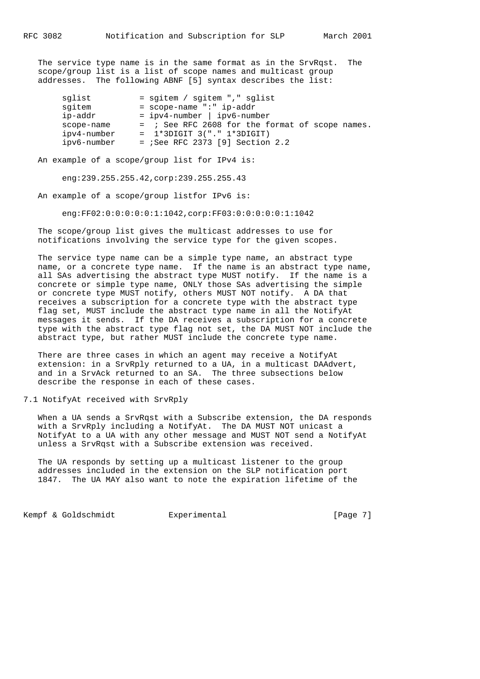The service type name is in the same format as in the SrvRqst. The scope/group list is a list of scope names and multicast group addresses. The following ABNF [5] syntax describes the list:

| sqlist      | = sgitem / sgitem "," sglist                    |
|-------------|-------------------------------------------------|
| sgitem      | $=$ scope-name ":" ip-addr                      |
| ip-addr     | = ipv4-number   ipv6-number                     |
| scope-name  | = ; See RFC 2608 for the format of scope names. |
| ipv4-number | $= 1*3$ DIGIT 3("." $1*3$ DIGIT)                |
| ipv6-number | = $i$ See RFC 2373 [9] Section 2.2              |

An example of a scope/group list for IPv4 is:

eng:239.255.255.42,corp:239.255.255.43

An example of a scope/group listfor IPv6 is:

eng:FF02:0:0:0:0:0:1:1042,corp:FF03:0:0:0:0:0:1:1042

 The scope/group list gives the multicast addresses to use for notifications involving the service type for the given scopes.

 The service type name can be a simple type name, an abstract type name, or a concrete type name. If the name is an abstract type name, all SAs advertising the abstract type MUST notify. If the name is a concrete or simple type name, ONLY those SAs advertising the simple or concrete type MUST notify, others MUST NOT notify. A DA that receives a subscription for a concrete type with the abstract type flag set, MUST include the abstract type name in all the NotifyAt messages it sends. If the DA receives a subscription for a concrete type with the abstract type flag not set, the DA MUST NOT include the abstract type, but rather MUST include the concrete type name.

 There are three cases in which an agent may receive a NotifyAt extension: in a SrvRply returned to a UA, in a multicast DAAdvert, and in a SrvAck returned to an SA. The three subsections below describe the response in each of these cases.

7.1 NotifyAt received with SrvRply

 When a UA sends a SrvRqst with a Subscribe extension, the DA responds with a SrvRply including a NotifyAt. The DA MUST NOT unicast a NotifyAt to a UA with any other message and MUST NOT send a NotifyAt unless a SrvRqst with a Subscribe extension was received.

 The UA responds by setting up a multicast listener to the group addresses included in the extension on the SLP notification port 1847. The UA MAY also want to note the expiration lifetime of the

Kempf & Goldschmidt Experimental [Page 7]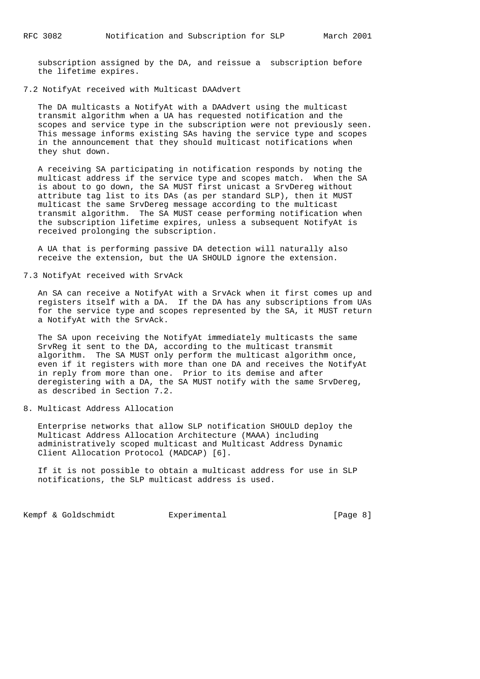subscription assigned by the DA, and reissue a subscription before the lifetime expires.

7.2 NotifyAt received with Multicast DAAdvert

 The DA multicasts a NotifyAt with a DAAdvert using the multicast transmit algorithm when a UA has requested notification and the scopes and service type in the subscription were not previously seen. This message informs existing SAs having the service type and scopes in the announcement that they should multicast notifications when they shut down.

 A receiving SA participating in notification responds by noting the multicast address if the service type and scopes match. When the SA is about to go down, the SA MUST first unicast a SrvDereg without attribute tag list to its DAs (as per standard SLP), then it MUST multicast the same SrvDereg message according to the multicast transmit algorithm. The SA MUST cease performing notification when the subscription lifetime expires, unless a subsequent NotifyAt is received prolonging the subscription.

 A UA that is performing passive DA detection will naturally also receive the extension, but the UA SHOULD ignore the extension.

7.3 NotifyAt received with SrvAck

 An SA can receive a NotifyAt with a SrvAck when it first comes up and registers itself with a DA. If the DA has any subscriptions from UAs for the service type and scopes represented by the SA, it MUST return a NotifyAt with the SrvAck.

 The SA upon receiving the NotifyAt immediately multicasts the same SrvReg it sent to the DA, according to the multicast transmit algorithm. The SA MUST only perform the multicast algorithm once, even if it registers with more than one DA and receives the NotifyAt in reply from more than one. Prior to its demise and after deregistering with a DA, the SA MUST notify with the same SrvDereg, as described in Section 7.2.

8. Multicast Address Allocation

 Enterprise networks that allow SLP notification SHOULD deploy the Multicast Address Allocation Architecture (MAAA) including administratively scoped multicast and Multicast Address Dynamic Client Allocation Protocol (MADCAP) [6].

 If it is not possible to obtain a multicast address for use in SLP notifications, the SLP multicast address is used.

Kempf & Goldschmidt Experimental [Page 8]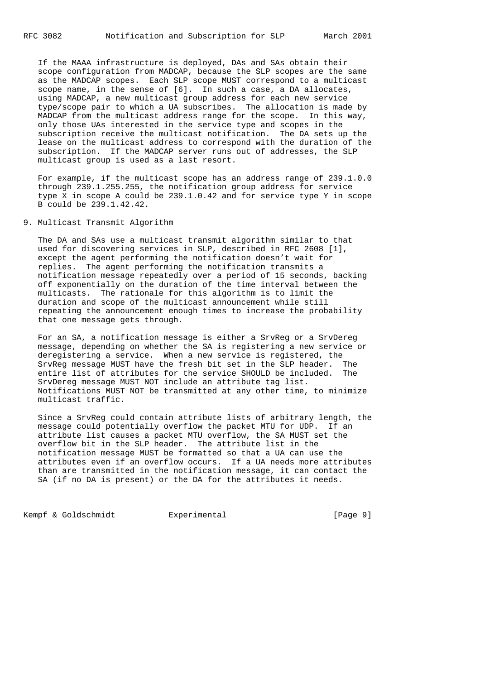If the MAAA infrastructure is deployed, DAs and SAs obtain their scope configuration from MADCAP, because the SLP scopes are the same as the MADCAP scopes. Each SLP scope MUST correspond to a multicast scope name, in the sense of [6]. In such a case, a DA allocates, using MADCAP, a new multicast group address for each new service type/scope pair to which a UA subscribes. The allocation is made by MADCAP from the multicast address range for the scope. In this way, only those UAs interested in the service type and scopes in the subscription receive the multicast notification. The DA sets up the lease on the multicast address to correspond with the duration of the subscription. If the MADCAP server runs out of addresses, the SLP multicast group is used as a last resort.

 For example, if the multicast scope has an address range of 239.1.0.0 through 239.1.255.255, the notification group address for service type X in scope A could be 239.1.0.42 and for service type Y in scope B could be 239.1.42.42.

## 9. Multicast Transmit Algorithm

 The DA and SAs use a multicast transmit algorithm similar to that used for discovering services in SLP, described in RFC 2608 [1], except the agent performing the notification doesn't wait for replies. The agent performing the notification transmits a notification message repeatedly over a period of 15 seconds, backing off exponentially on the duration of the time interval between the multicasts. The rationale for this algorithm is to limit the duration and scope of the multicast announcement while still repeating the announcement enough times to increase the probability that one message gets through.

 For an SA, a notification message is either a SrvReg or a SrvDereg message, depending on whether the SA is registering a new service or deregistering a service. When a new service is registered, the SrvReg message MUST have the fresh bit set in the SLP header. The entire list of attributes for the service SHOULD be included. The SrvDereg message MUST NOT include an attribute tag list. Notifications MUST NOT be transmitted at any other time, to minimize multicast traffic.

 Since a SrvReg could contain attribute lists of arbitrary length, the message could potentially overflow the packet MTU for UDP. If an attribute list causes a packet MTU overflow, the SA MUST set the overflow bit in the SLP header. The attribute list in the notification message MUST be formatted so that a UA can use the attributes even if an overflow occurs. If a UA needs more attributes than are transmitted in the notification message, it can contact the SA (if no DA is present) or the DA for the attributes it needs.

Kempf & Goldschmidt Experimental [Page 9]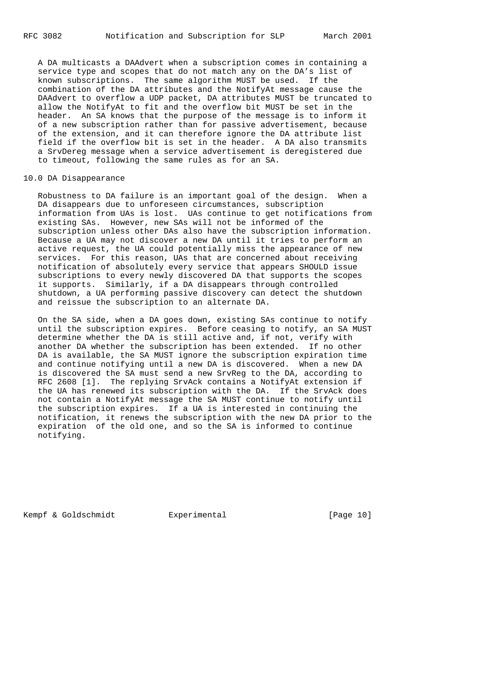A DA multicasts a DAAdvert when a subscription comes in containing a service type and scopes that do not match any on the DA's list of known subscriptions. The same algorithm MUST be used. If the combination of the DA attributes and the NotifyAt message cause the DAAdvert to overflow a UDP packet, DA attributes MUST be truncated to allow the NotifyAt to fit and the overflow bit MUST be set in the header. An SA knows that the purpose of the message is to inform it of a new subscription rather than for passive advertisement, because of the extension, and it can therefore ignore the DA attribute list field if the overflow bit is set in the header. A DA also transmits a SrvDereg message when a service advertisement is deregistered due to timeout, following the same rules as for an SA.

#### 10.0 DA Disappearance

 Robustness to DA failure is an important goal of the design. When a DA disappears due to unforeseen circumstances, subscription information from UAs is lost. UAs continue to get notifications from existing SAs. However, new SAs will not be informed of the subscription unless other DAs also have the subscription information. Because a UA may not discover a new DA until it tries to perform an active request, the UA could potentially miss the appearance of new services. For this reason, UAs that are concerned about receiving notification of absolutely every service that appears SHOULD issue subscriptions to every newly discovered DA that supports the scopes it supports. Similarly, if a DA disappears through controlled shutdown, a UA performing passive discovery can detect the shutdown and reissue the subscription to an alternate DA.

 On the SA side, when a DA goes down, existing SAs continue to notify until the subscription expires. Before ceasing to notify, an SA MUST determine whether the DA is still active and, if not, verify with another DA whether the subscription has been extended. If no other DA is available, the SA MUST ignore the subscription expiration time and continue notifying until a new DA is discovered. When a new DA is discovered the SA must send a new SrvReg to the DA, according to RFC 2608 [1]. The replying SrvAck contains a NotifyAt extension if the UA has renewed its subscription with the DA. If the SrvAck does not contain a NotifyAt message the SA MUST continue to notify until the subscription expires. If a UA is interested in continuing the notification, it renews the subscription with the new DA prior to the expiration of the old one, and so the SA is informed to continue notifying.

Kempf & Goldschmidt Experimental [Page 10]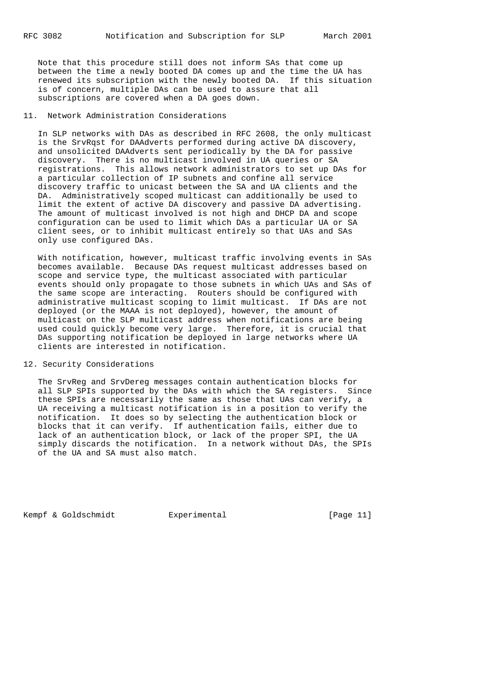Note that this procedure still does not inform SAs that come up between the time a newly booted DA comes up and the time the UA has renewed its subscription with the newly booted DA. If this situation is of concern, multiple DAs can be used to assure that all subscriptions are covered when a DA goes down.

# 11. Network Administration Considerations

 In SLP networks with DAs as described in RFC 2608, the only multicast is the SrvRqst for DAAdverts performed during active DA discovery, and unsolicited DAAdverts sent periodically by the DA for passive discovery. There is no multicast involved in UA queries or SA registrations. This allows network administrators to set up DAs for a particular collection of IP subnets and confine all service discovery traffic to unicast between the SA and UA clients and the DA. Administratively scoped multicast can additionally be used to limit the extent of active DA discovery and passive DA advertising. The amount of multicast involved is not high and DHCP DA and scope configuration can be used to limit which DAs a particular UA or SA client sees, or to inhibit multicast entirely so that UAs and SAs only use configured DAs.

 With notification, however, multicast traffic involving events in SAs becomes available. Because DAs request multicast addresses based on scope and service type, the multicast associated with particular events should only propagate to those subnets in which UAs and SAs of the same scope are interacting. Routers should be configured with administrative multicast scoping to limit multicast. If DAs are not deployed (or the MAAA is not deployed), however, the amount of multicast on the SLP multicast address when notifications are being used could quickly become very large. Therefore, it is crucial that DAs supporting notification be deployed in large networks where UA clients are interested in notification.

## 12. Security Considerations

 The SrvReg and SrvDereg messages contain authentication blocks for all SLP SPIs supported by the DAs with which the SA registers. Since these SPIs are necessarily the same as those that UAs can verify, a UA receiving a multicast notification is in a position to verify the notification. It does so by selecting the authentication block or blocks that it can verify. If authentication fails, either due to lack of an authentication block, or lack of the proper SPI, the UA simply discards the notification. In a network without DAs, the SPIs of the UA and SA must also match.

Kempf & Goldschmidt Experimental [Page 11]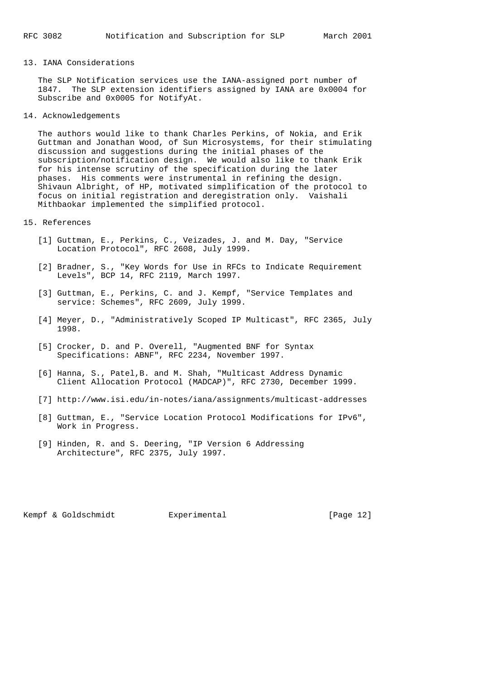# 13. IANA Considerations

 The SLP Notification services use the IANA-assigned port number of 1847. The SLP extension identifiers assigned by IANA are 0x0004 for Subscribe and 0x0005 for NotifyAt.

14. Acknowledgements

 The authors would like to thank Charles Perkins, of Nokia, and Erik Guttman and Jonathan Wood, of Sun Microsystems, for their stimulating discussion and suggestions during the initial phases of the subscription/notification design. We would also like to thank Erik for his intense scrutiny of the specification during the later phases. His comments were instrumental in refining the design. Shivaun Albright, of HP, motivated simplification of the protocol to focus on initial registration and deregistration only. Vaishali Mithbaokar implemented the simplified protocol.

### 15. References

- [1] Guttman, E., Perkins, C., Veizades, J. and M. Day, "Service Location Protocol", RFC 2608, July 1999.
- [2] Bradner, S., "Key Words for Use in RFCs to Indicate Requirement Levels", BCP 14, RFC 2119, March 1997.
- [3] Guttman, E., Perkins, C. and J. Kempf, "Service Templates and service: Schemes", RFC 2609, July 1999.
- [4] Meyer, D., "Administratively Scoped IP Multicast", RFC 2365, July 1998.
- [5] Crocker, D. and P. Overell, "Augmented BNF for Syntax Specifications: ABNF", RFC 2234, November 1997.
- [6] Hanna, S., Patel,B. and M. Shah, "Multicast Address Dynamic Client Allocation Protocol (MADCAP)", RFC 2730, December 1999.
- [7] http://www.isi.edu/in-notes/iana/assignments/multicast-addresses
- [8] Guttman, E., "Service Location Protocol Modifications for IPv6", Work in Progress.
- [9] Hinden, R. and S. Deering, "IP Version 6 Addressing Architecture", RFC 2375, July 1997.

Kempf & Goldschmidt Experimental [Page 12]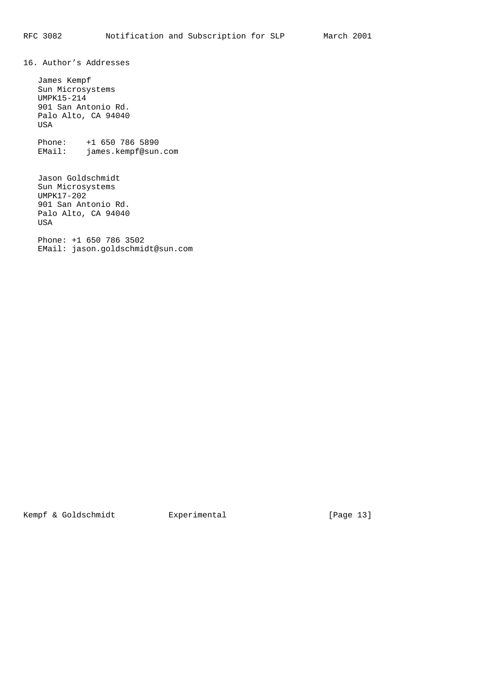16. Author's Addresses

 James Kempf Sun Microsystems UMPK15-214 901 San Antonio Rd. Palo Alto, CA 94040 USA

 Phone: +1 650 786 5890 EMail: james.kempf@sun.com

 Jason Goldschmidt Sun Microsystems UMPK17-202 901 San Antonio Rd. Palo Alto, CA 94040 USA

 Phone: +1 650 786 3502 EMail: jason.goldschmidt@sun.com

Kempf & Goldschmidt Experimental [Page 13]